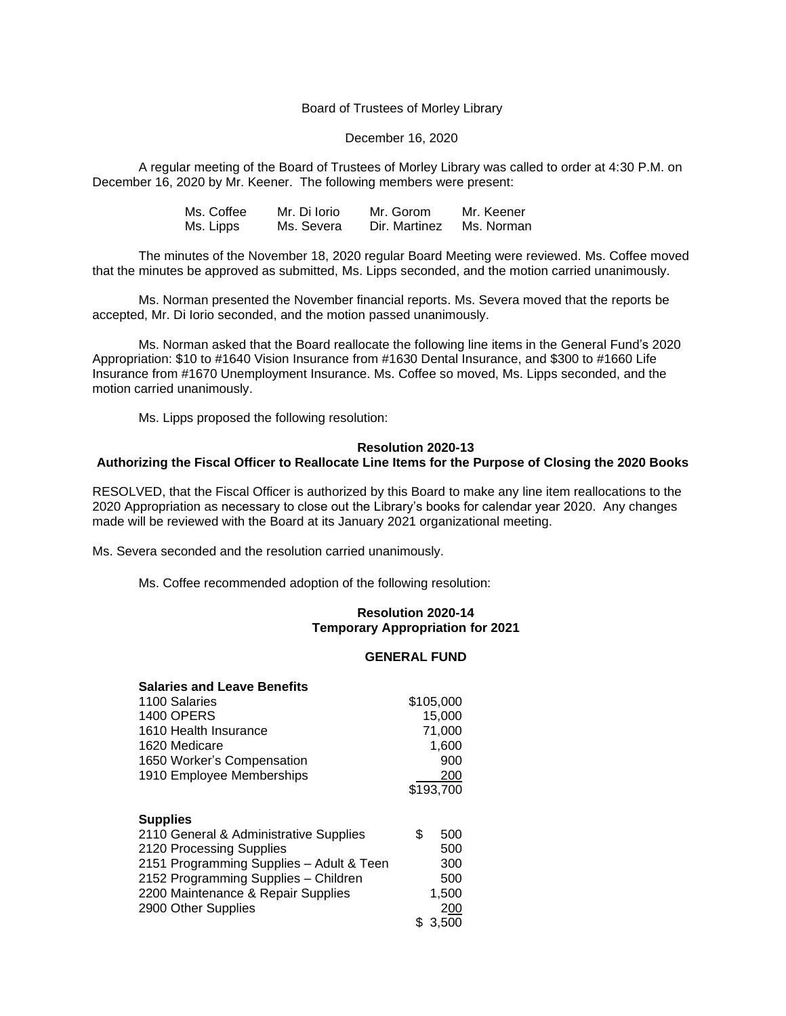## Board of Trustees of Morley Library

#### December 16, 2020

A regular meeting of the Board of Trustees of Morley Library was called to order at 4:30 P.M. on December 16, 2020 by Mr. Keener. The following members were present:

| Ms. Coffee | Mr. Di Iorio | Mr. Gorom     | Mr. Keener |
|------------|--------------|---------------|------------|
| Ms. Lipps  | Ms. Severa   | Dir. Martinez | Ms. Norman |

The minutes of the November 18, 2020 regular Board Meeting were reviewed. Ms. Coffee moved that the minutes be approved as submitted, Ms. Lipps seconded, and the motion carried unanimously.

Ms. Norman presented the November financial reports. Ms. Severa moved that the reports be accepted, Mr. Di Iorio seconded, and the motion passed unanimously.

Ms. Norman asked that the Board reallocate the following line items in the General Fund's 2020 Appropriation: \$10 to #1640 Vision Insurance from #1630 Dental Insurance, and \$300 to #1660 Life Insurance from #1670 Unemployment Insurance. Ms. Coffee so moved, Ms. Lipps seconded, and the motion carried unanimously.

Ms. Lipps proposed the following resolution:

### **Resolution 2020-13**

### **Authorizing the Fiscal Officer to Reallocate Line Items for the Purpose of Closing the 2020 Books**

RESOLVED, that the Fiscal Officer is authorized by this Board to make any line item reallocations to the 2020 Appropriation as necessary to close out the Library's books for calendar year 2020. Any changes made will be reviewed with the Board at its January 2021 organizational meeting.

Ms. Severa seconded and the resolution carried unanimously.

Ms. Coffee recommended adoption of the following resolution:

# **Resolution 2020-14 Temporary Appropriation for 2021**

#### **GENERAL FUND**

| <b>Salaries and Leave Benefits</b>       |    |           |
|------------------------------------------|----|-----------|
| 1100 Salaries                            |    | \$105,000 |
| <b>1400 OPERS</b>                        |    | 15,000    |
| 1610 Health Insurance                    |    | 71,000    |
| 1620 Medicare                            |    | 1,600     |
| 1650 Worker's Compensation               |    | 900       |
| 1910 Employee Memberships                |    | 200       |
|                                          |    | \$193,700 |
|                                          |    |           |
| <b>Supplies</b>                          |    |           |
| 2110 General & Administrative Supplies   | \$ | 500       |
| 2120 Processing Supplies                 |    | 500       |
| 2151 Programming Supplies - Adult & Teen |    | 300       |
| 2152 Programming Supplies - Children     |    | 500       |
| 2200 Maintenance & Repair Supplies       |    | 1,500     |
| 2900 Other Supplies                      |    | 200       |
|                                          | \$ | 3,500     |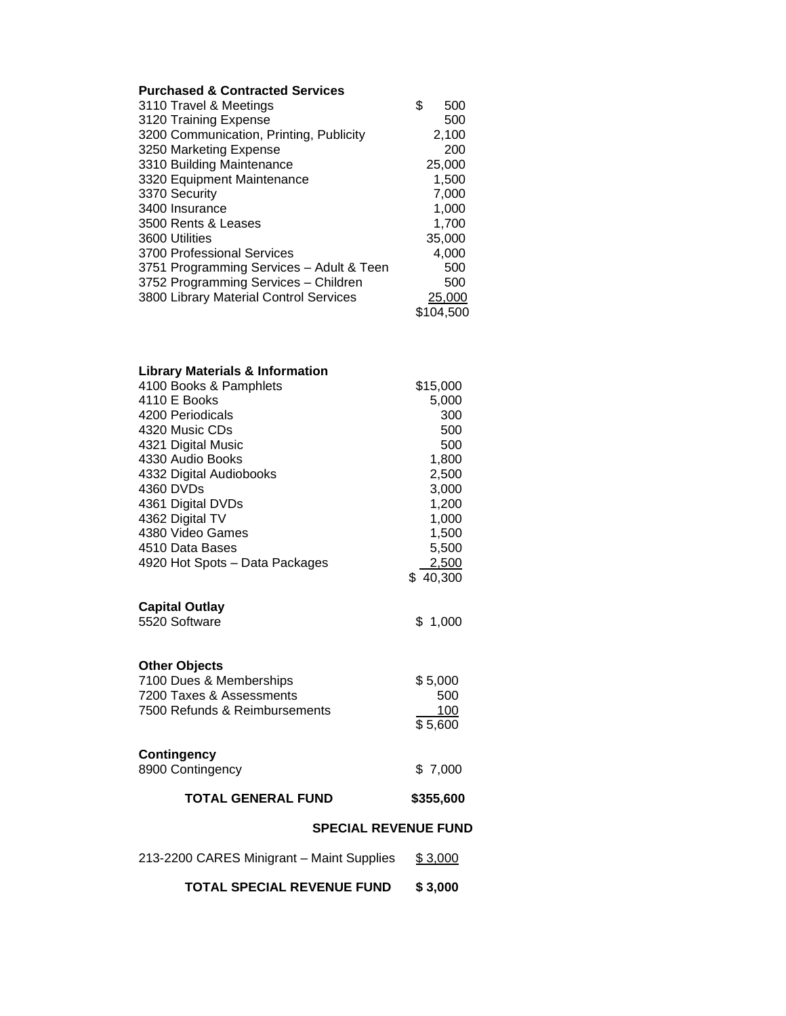# **Purchased & Contracted Services**

| 3110 Travel & Meetings                   | \$<br>500 |
|------------------------------------------|-----------|
| 3120 Training Expense                    | 500       |
| 3200 Communication, Printing, Publicity  | 2,100     |
| 3250 Marketing Expense                   | 200       |
| 3310 Building Maintenance                | 25,000    |
| 3320 Equipment Maintenance               | 1,500     |
| 3370 Security                            | 7,000     |
| 3400 Insurance                           | 1,000     |
| 3500 Rents & Leases                      | 1,700     |
| 3600 Utilities                           | 35,000    |
| 3700 Professional Services               | 4,000     |
| 3751 Programming Services - Adult & Teen | 500       |
| 3752 Programming Services - Children     | 500       |
| 3800 Library Material Control Services   | 25,000    |
|                                          | \$104,500 |

| <b>Library Materials &amp; Information</b> |           |  |  |  |
|--------------------------------------------|-----------|--|--|--|
| 4100 Books & Pamphlets                     | \$15,000  |  |  |  |
| 4110 E Books                               | 5,000     |  |  |  |
| 4200 Periodicals                           | 300       |  |  |  |
| 4320 Music CDs                             | 500       |  |  |  |
| 4321 Digital Music                         | 500       |  |  |  |
| 4330 Audio Books                           | 1,800     |  |  |  |
| 4332 Digital Audiobooks                    | 2,500     |  |  |  |
| 4360 DVDs                                  | 3,000     |  |  |  |
| 4361 Digital DVDs                          | 1,200     |  |  |  |
| 4362 Digital TV                            | 1,000     |  |  |  |
| 4380 Video Games                           | 1,500     |  |  |  |
| 4510 Data Bases                            | 5,500     |  |  |  |
| 4920 Hot Spots - Data Packages             | 2,500     |  |  |  |
|                                            | \$40,300  |  |  |  |
| <b>Capital Outlay</b>                      |           |  |  |  |
| 5520 Software                              | \$1,000   |  |  |  |
|                                            |           |  |  |  |
| <b>Other Objects</b>                       |           |  |  |  |
| 7100 Dues & Memberships                    | \$5,000   |  |  |  |
| 7200 Taxes & Assessments                   | 500       |  |  |  |
| 7500 Refunds & Reimbursements              | 100       |  |  |  |
|                                            | \$5,600   |  |  |  |
|                                            |           |  |  |  |
| <b>Contingency</b>                         |           |  |  |  |
| 8900 Contingency                           | \$7,000   |  |  |  |
| <b>TOTAL GENERAL FUND</b>                  | \$355,600 |  |  |  |
| <b>SPECIAL REVENUE FUND</b>                |           |  |  |  |
|                                            |           |  |  |  |
| 213-2200 CARES Minigrant - Maint Supplies  | \$3,000   |  |  |  |
| <b>TOTAL SPECIAL REVENUE FUND</b>          | \$3,000   |  |  |  |